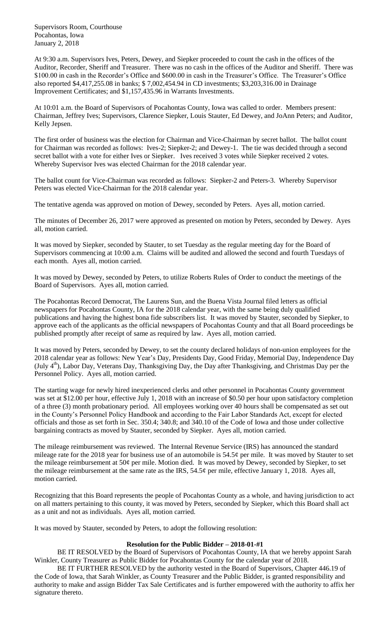Supervisors Room, Courthouse Pocahontas, Iowa January 2, 2018

At 9:30 a.m. Supervisors Ives, Peters, Dewey, and Siepker proceeded to count the cash in the offices of the Auditor, Recorder, Sheriff and Treasurer. There was no cash in the offices of the Auditor and Sheriff. There was \$100.00 in cash in the Recorder's Office and \$600.00 in cash in the Treasurer's Office. The Treasurer's Office also reported \$4,417,255.08 in banks; \$ 7,002,454.94 in CD investments; \$3,203,316.00 in Drainage Improvement Certificates; and \$1,157,435.96 in Warrants Investments.

At 10:01 a.m. the Board of Supervisors of Pocahontas County, Iowa was called to order. Members present: Chairman, Jeffrey Ives; Supervisors, Clarence Siepker, Louis Stauter, Ed Dewey, and JoAnn Peters; and Auditor, Kelly Jepsen.

The first order of business was the election for Chairman and Vice-Chairman by secret ballot. The ballot count for Chairman was recorded as follows: Ives-2; Siepker-2; and Dewey-1. The tie was decided through a second secret ballot with a vote for either Ives or Siepker. Ives received 3 votes while Siepker received 2 votes. Whereby Supervisor Ives was elected Chairman for the 2018 calendar year.

The ballot count for Vice-Chairman was recorded as follows: Siepker-2 and Peters-3. Whereby Supervisor Peters was elected Vice-Chairman for the 2018 calendar year.

The tentative agenda was approved on motion of Dewey, seconded by Peters. Ayes all, motion carried.

The minutes of December 26, 2017 were approved as presented on motion by Peters, seconded by Dewey. Ayes all, motion carried.

It was moved by Siepker, seconded by Stauter, to set Tuesday as the regular meeting day for the Board of Supervisors commencing at 10:00 a.m. Claims will be audited and allowed the second and fourth Tuesdays of each month. Ayes all, motion carried.

It was moved by Dewey, seconded by Peters, to utilize Roberts Rules of Order to conduct the meetings of the Board of Supervisors. Ayes all, motion carried.

The Pocahontas Record Democrat, The Laurens Sun, and the Buena Vista Journal filed letters as official newspapers for Pocahontas County, IA for the 2018 calendar year, with the same being duly qualified publications and having the highest bona fide subscribers list. It was moved by Stauter, seconded by Siepker, to approve each of the applicants as the official newspapers of Pocahontas County and that all Board proceedings be published promptly after receipt of same as required by law. Ayes all, motion carried.

It was moved by Peters, seconded by Dewey, to set the county declared holidays of non-union employees for the 2018 calendar year as follows: New Year's Day, Presidents Day, Good Friday, Memorial Day, Independence Day (July 4<sup>th</sup>), Labor Day, Veterans Day, Thanksgiving Day, the Day after Thanksgiving, and Christmas Day per the Personnel Policy. Ayes all, motion carried.

The starting wage for newly hired inexperienced clerks and other personnel in Pocahontas County government was set at \$12.00 per hour, effective July 1, 2018 with an increase of \$0.50 per hour upon satisfactory completion of a three (3) month probationary period. All employees working over 40 hours shall be compensated as set out in the County's Personnel Policy Handbook and according to the Fair Labor Standards Act, except for elected officials and those as set forth in Sec. 350.4; 340.8; and 340.10 of the Code of Iowa and those under collective bargaining contracts as moved by Stauter, seconded by Siepker. Ayes all, motion carried.

The mileage reimbursement was reviewed. The Internal Revenue Service (IRS) has announced the standard mileage rate for the 2018 year for business use of an automobile is  $54.5\phi$  per mile. It was moved by Stauter to set the mileage reimbursement at 50¢ per mile. Motion died. It was moved by Dewey, seconded by Siepker, to set the mileage reimbursement at the same rate as the IRS,  $54.5¢$  per mile, effective January 1, 2018. Ayes all, motion carried.

Recognizing that this Board represents the people of Pocahontas County as a whole, and having jurisdiction to act on all matters pertaining to this county, it was moved by Peters, seconded by Siepker, which this Board shall act as a unit and not as individuals. Ayes all, motion carried.

It was moved by Stauter, seconded by Peters, to adopt the following resolution:

## **Resolution for the Public Bidder – 2018-01-#1**

BE IT RESOLVED by the Board of Supervisors of Pocahontas County, IA that we hereby appoint Sarah Winkler, County Treasurer as Public Bidder for Pocahontas County for the calendar year of 2018.

BE IT FURTHER RESOLVED by the authority vested in the Board of Supervisors, Chapter 446.19 of the Code of Iowa, that Sarah Winkler, as County Treasurer and the Public Bidder, is granted responsibility and authority to make and assign Bidder Tax Sale Certificates and is further empowered with the authority to affix her signature thereto.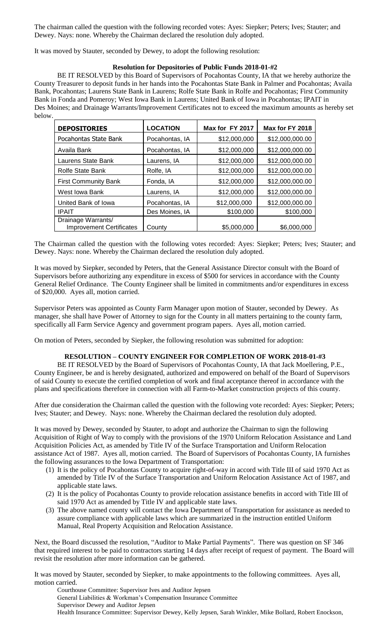The chairman called the question with the following recorded votes: Ayes: Siepker; Peters; Ives; Stauter; and Dewey. Nays: none. Whereby the Chairman declared the resolution duly adopted.

It was moved by Stauter, seconded by Dewey, to adopt the following resolution:

## **Resolution for Depositories of Public Funds 2018-01-#2**

BE IT RESOLVED by this Board of Supervisors of Pocahontas County, IA that we hereby authorize the County Treasurer to deposit funds in her hands into the Pocahontas State Bank in Palmer and Pocahontas; Availa Bank, Pocahontas; Laurens State Bank in Laurens; Rolfe State Bank in Rolfe and Pocahontas; First Community Bank in Fonda and Pomeroy; West Iowa Bank in Laurens; United Bank of Iowa in Pocahontas; IPAIT in Des Moines; and Drainage Warrants/Improvement Certificates not to exceed the maximum amounts as hereby set below.

| <b>DEPOSITORIES</b>                                   | <b>LOCATION</b> | Max for FY 2017 | Max for FY 2018 |
|-------------------------------------------------------|-----------------|-----------------|-----------------|
| Pocahontas State Bank                                 | Pocahontas, IA  | \$12,000,000    | \$12,000,000.00 |
| Availa Bank                                           | Pocahontas, IA  | \$12,000,000    | \$12,000,000.00 |
| Laurens State Bank                                    | Laurens, IA     | \$12,000,000    | \$12,000,000.00 |
| <b>Rolfe State Bank</b>                               | Rolfe, IA       | \$12,000,000    | \$12,000,000.00 |
| <b>First Community Bank</b>                           | Fonda, IA       | \$12,000,000    | \$12,000,000.00 |
| West Iowa Bank                                        | Laurens, IA     | \$12,000,000    | \$12,000,000.00 |
| United Bank of Iowa                                   | Pocahontas, IA  | \$12,000,000    | \$12,000,000.00 |
| <b>IPAIT</b>                                          | Des Moines, IA  | \$100,000       | \$100,000       |
| Drainage Warrants/<br><b>Improvement Certificates</b> | County          | \$5,000,000     | \$6,000,000     |

The Chairman called the question with the following votes recorded: Ayes: Siepker; Peters; Ives; Stauter; and Dewey. Nays: none. Whereby the Chairman declared the resolution duly adopted.

It was moved by Siepker, seconded by Peters, that the General Assistance Director consult with the Board of Supervisors before authorizing any expenditure in excess of \$500 for services in accordance with the County General Relief Ordinance. The County Engineer shall be limited in commitments and/or expenditures in excess of \$20,000. Ayes all, motion carried.

Supervisor Peters was appointed as County Farm Manager upon motion of Stauter, seconded by Dewey. As manager, she shall have Power of Attorney to sign for the County in all matters pertaining to the county farm, specifically all Farm Service Agency and government program papers. Ayes all, motion carried.

On motion of Peters, seconded by Siepker, the following resolution was submitted for adoption:

## **RESOLUTION – COUNTY ENGINEER FOR COMPLETION OF WORK 2018-01-#3**

BE IT RESOLVED by the Board of Supervisors of Pocahontas County, IA that Jack Moellering, P.E., County Engineer, be and is hereby designated, authorized and empowered on behalf of the Board of Supervisors of said County to execute the certified completion of work and final acceptance thereof in accordance with the plans and specifications therefore in connection with all Farm-to-Market construction projects of this county.

After due consideration the Chairman called the question with the following vote recorded: Ayes: Siepker; Peters; Ives; Stauter; and Dewey. Nays: none. Whereby the Chairman declared the resolution duly adopted.

It was moved by Dewey, seconded by Stauter, to adopt and authorize the Chairman to sign the following Acquisition of Right of Way to comply with the provisions of the 1970 Uniform Relocation Assistance and Land Acquisition Policies Act, as amended by Title IV of the Surface Transportation and Uniform Relocation assistance Act of 1987. Ayes all, motion carried. The Board of Supervisors of Pocahontas County, IA furnishes the following assurances to the Iowa Department of Transportation:

- (1) It is the policy of Pocahontas County to acquire right-of-way in accord with Title III of said 1970 Act as amended by Title IV of the Surface Transportation and Uniform Relocation Assistance Act of 1987, and applicable state laws.
- (2) It is the policy of Pocahontas County to provide relocation assistance benefits in accord with Title III of said 1970 Act as amended by Title IV and applicable state laws.
- (3) The above named county will contact the Iowa Department of Transportation for assistance as needed to assure compliance with applicable laws which are summarized in the instruction entitled Uniform Manual, Real Property Acquisition and Relocation Assistance.

Next, the Board discussed the resolution, "Auditor to Make Partial Payments". There was question on SF 346 that required interest to be paid to contractors starting 14 days after receipt of request of payment. The Board will revisit the resolution after more information can be gathered.

It was moved by Stauter, seconded by Siepker, to make appointments to the following committees. Ayes all, motion carried.

Courthouse Committee: Supervisor Ives and Auditor Jepsen General Liabilities & Workman's Compensation Insurance Committee Supervisor Dewey and Auditor Jepsen Health Insurance Committee: Supervisor Dewey, Kelly Jepsen, Sarah Winkler, Mike Bollard, Robert Enockson,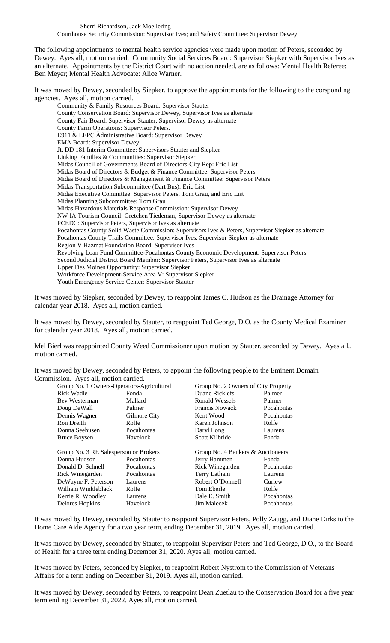The following appointments to mental health service agencies were made upon motion of Peters, seconded by Dewey. Ayes all, motion carried. Community Social Services Board: Supervisor Siepker with Supervisor Ives as an alternate. Appointments by the District Court with no action needed, are as follows: Mental Health Referee: Ben Meyer; Mental Health Advocate: Alice Warner.

It was moved by Dewey, seconded by Siepker, to approve the appointments for the following to the corsponding agencies. Ayes all, motion carried.

Community & Family Resources Board: Supervisor Stauter County Conservation Board: Supervisor Dewey, Supervisor Ives as alternate County Fair Board: Supervisor Stauter, Supervisor Dewey as alternate County Farm Operations: Supervisor Peters. E911 & LEPC Administrative Board: Supervisor Dewey EMA Board: Supervisor Dewey Jt. DD 181 Interim Committee: Supervisors Stauter and Siepker Linking Families & Communities: Supervisor Siepker Midas Council of Governments Board of Directors-City Rep: Eric List Midas Board of Directors & Budget & Finance Committee: Supervisor Peters Midas Board of Directors & Management & Finance Committee: Supervisor Peters Midas Transportation Subcommittee (Dart Bus): Eric List Midas Executive Committee: Supervisor Peters, Tom Grau, and Eric List Midas Planning Subcommittee: Tom Grau Midas Hazardous Materials Response Commission: Supervisor Dewey NW IA Tourism Council: Gretchen Tiedeman, Supervisor Dewey as alternate PCEDC: Supervisor Peters, Supervisor Ives as alternate Pocahontas County Solid Waste Commission: Supervisors Ives & Peters, Supervisor Siepker as alternate Pocahontas County Trails Committee: Supervisor Ives, Supervisor Siepker as alternate Region V Hazmat Foundation Board: Supervisor Ives Revolving Loan Fund Committee-Pocahontas County Economic Development: Supervisor Peters Second Judicial District Board Member: Supervisor Peters, Supervisor Ives as alternate Upper Des Moines Opportunity: Supervisor Siepker Workforce Development-Service Area V: Supervisor Siepker Youth Emergency Service Center: Supervisor Stauter

It was moved by Siepker, seconded by Dewey, to reappoint James C. Hudson as the Drainage Attorney for calendar year 2018. Ayes all, motion carried.

It was moved by Dewey, seconded by Stauter, to reappoint Ted George, D.O. as the County Medical Examiner for calendar year 2018. Ayes all, motion carried.

Mel Bierl was reappointed County Weed Commissioner upon motion by Stauter, seconded by Dewey. Ayes all., motion carried.

It was moved by Dewey, seconded by Peters, to appoint the following people to the Eminent Domain Commission. Ayes all, motion carried.

| Group No. 1 Owners-Operators-Agricultural |              | Group No. 2 Owners of City Property |            |
|-------------------------------------------|--------------|-------------------------------------|------------|
| Rick Wadle                                | Fonda        | Duane Ricklefs                      | Palmer     |
| Bev Westerman                             | Mallard      | Ronald Wessels                      | Palmer     |
| Doug DeWall                               | Palmer       | Francis Nowack                      | Pocahontas |
| Dennis Wagner                             | Gilmore City | Kent Wood                           | Pocahontas |
| <b>Ron Dreith</b>                         | Rolfe        | Karen Johnson                       | Rolfe      |
| Donna Seehusen                            | Pocahontas   | Daryl Long                          | Laurens    |
| <b>Bruce Boysen</b>                       | Havelock     | Scott Kilbride                      | Fonda      |
|                                           |              |                                     |            |
| Group No. 3 RE Salesperson or Brokers     |              | Group No. 4 Bankers & Auctioneers   |            |
| Donna Hudson                              | Pocahontas   | Jerry Hammen                        | Fonda      |
| Donald D. Schnell                         | Pocahontas   | Rick Winegarden                     | Pocahontas |
| Rick Winegarden                           | Pocahontas   | Terry Latham                        | Laurens    |
| DeWayne F. Peterson                       | Laurens      | Robert O'Donnell                    | Curlew     |
| William Winkleblack                       | Rolfe        | Tom Eberle                          | Rolfe      |
| Kerrie R. Woodley                         | Laurens      | Dale E. Smith                       | Pocahontas |
| Delores Hopkins                           | Havelock     | <b>Jim Malecek</b>                  | Pocahontas |

It was moved by Dewey, seconded by Stauter to reappoint Supervisor Peters, Polly Zaugg, and Diane Dirks to the Home Care Aide Agency for a two year term, ending December 31, 2019. Ayes all, motion carried.

It was moved by Dewey, seconded by Stauter, to reappoint Supervisor Peters and Ted George, D.O., to the Board of Health for a three term ending December 31, 2020. Ayes all, motion carried.

It was moved by Peters, seconded by Siepker, to reappoint Robert Nystrom to the Commission of Veterans Affairs for a term ending on December 31, 2019. Ayes all, motion carried.

It was moved by Dewey, seconded by Peters, to reappoint Dean Zuetlau to the Conservation Board for a five year term ending December 31, 2022. Ayes all, motion carried.